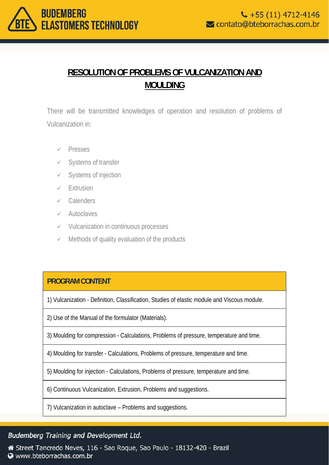

# **RESOLUTION OF PROBLEMS OF VULCANIZATION AND MOULDING**

There will be transmitted knowledges of operation and resolution of problems of Vulcanization in:

- $\checkmark$  Presses
- $\checkmark$  Systems of transfer
- $\checkmark$  Systems of injection
- $\checkmark$  Extrusion
- $\checkmark$  Calenders
- $\checkmark$  Autoclaves
- $\checkmark$  Vulcanization in continuous processes
- $\checkmark$  Methods of quality evaluation of the products

#### **PROGRAM CONTENT**

1) Vulcanization - Definition, Classification, Studies of elastic module and Viscous module.

2) Use of the Manual of the formulator (Materials).

3) Moulding for compression - Calculations, Problems of pressure, temperature and time.

4) Moulding for transfer - Calculations, Problems of pressure, temperature and time.

5) Moulding for injection - Calculations, Problems of pressure, temperature and time.

6) Continuous Vulcanization, Extrusion, Problems and suggestions.

7) Vulcanization in autoclave – Problems and suggestions.

## Budemberg Training and Development Ltd.

Street Tancredo Neves, 116 - Sao Roque, Sao Paulo - 18132-420 - Brazil Www.bteborrachas.com.br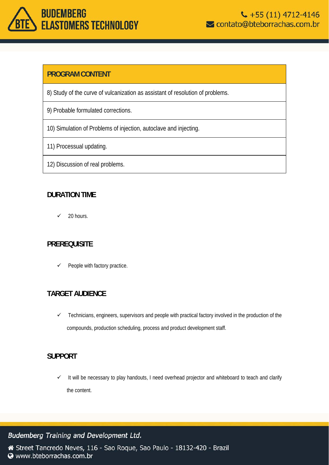# **BUDEMBERG ELASTOMERS TECHNOLOGY**

### **PROGRAM CONTENT**

- 8) Study of the curve of vulcanization as assistant of resolution of problems.
- 9) Probable formulated corrections.
- 10) Simulation of Problems of injection, autoclave and injecting.
- 11) Processual updating.
- 12) Discussion of real problems.

#### **DURATION TIME**

 $\checkmark$  20 hours.

#### **PREREQUISITE**

 $\checkmark$  People with factory practice.

#### **TARGET AUDIENCE**

 $\checkmark$  Technicians, engineers, supervisors and people with practical factory involved in the production of the compounds, production scheduling, process and product development staff.

#### **SUPPORT**

 $\checkmark$  It will be necessary to play handouts, I need overhead projector and whiteboard to teach and clarify the content.

#### Budemberg Training and Development Ltd.

Street Tancredo Neves, 116 - Sao Roque, Sao Paulo - 18132-420 - Brazil Www.bteborrachas.com.br